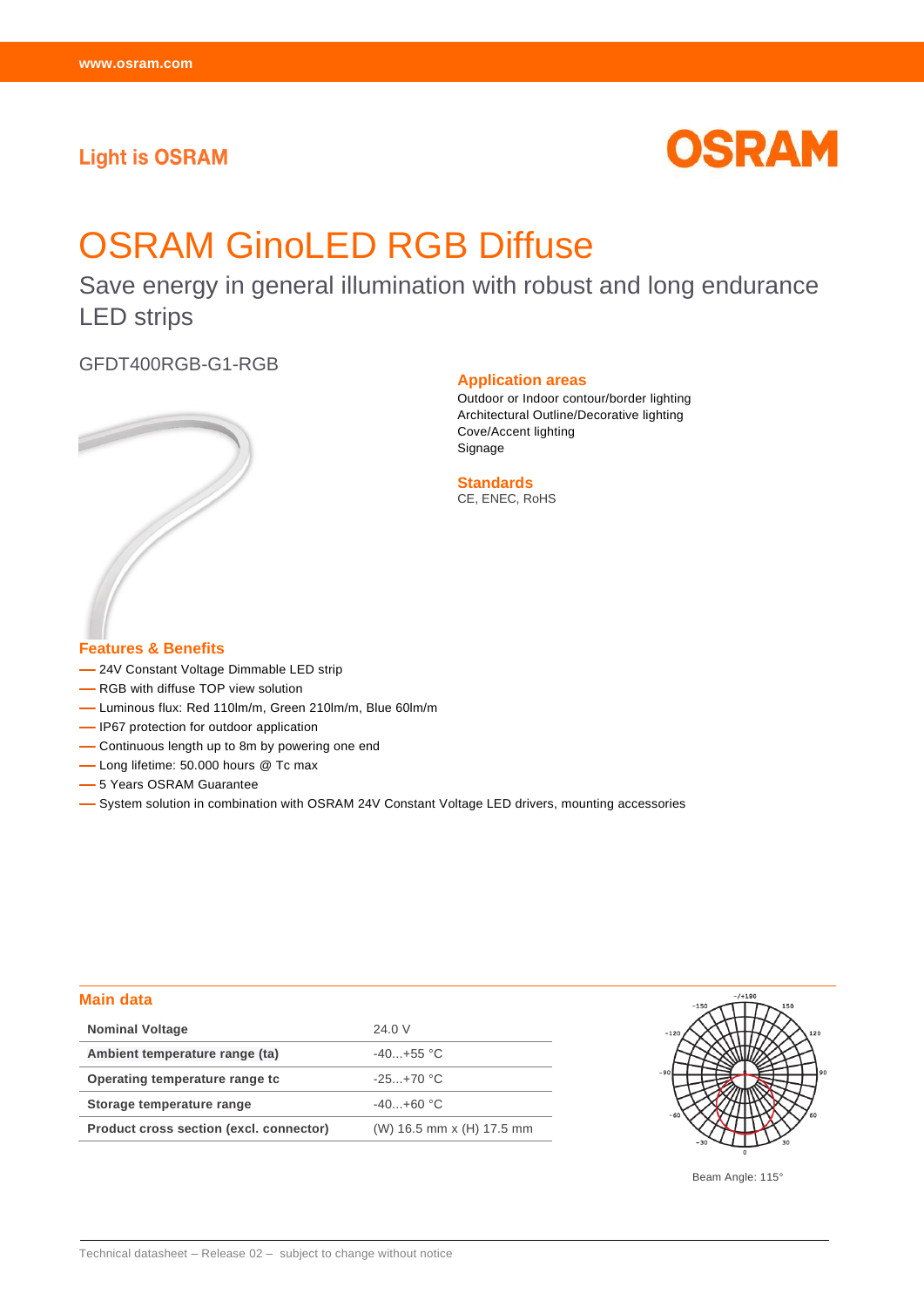# **Light is OSRAM**



# OSRAM GinoLED RGB Diffuse

Save energy in general illumination with robust and long endurance LED strips

GFDT400RGB-G1-RGB



### **Application areas**

Outdoor or Indoor contour/border lighting Architectural Outline/Decorative lighting Cove/Accent lighting Signage

**Standards** CE, ENEC, RoHS

## **Features & Benefits**

- -24V Constant Voltage Dimmable LED strip
- -RGB with diffuse TOP view solution
- Luminous flux: Red 110lm/m, Green 210lm/m, Blue 60lm/m
- IP67 protection for outdoor application
- Continuous length up to 8m by powering one end
- Long lifetime: 50.000 hours @ Tc max
- $-$  5 Years OSRAM Guarantee
- System solution in combination with OSRAM 24V Constant Voltage LED drivers, mounting accessories

## **Main data**

| <b>Nominal Voltage</b>                  | 24.0 V                    |
|-----------------------------------------|---------------------------|
| Ambient temperature range (ta)          | $-40+55$ °C               |
| Operating temperature range to          | $-25+70$ °C               |
| Storage temperature range               | $-40. +60$ °C             |
| Product cross section (excl. connector) | (W) 16.5 mm x (H) 17.5 mm |



Beam Angle: 115°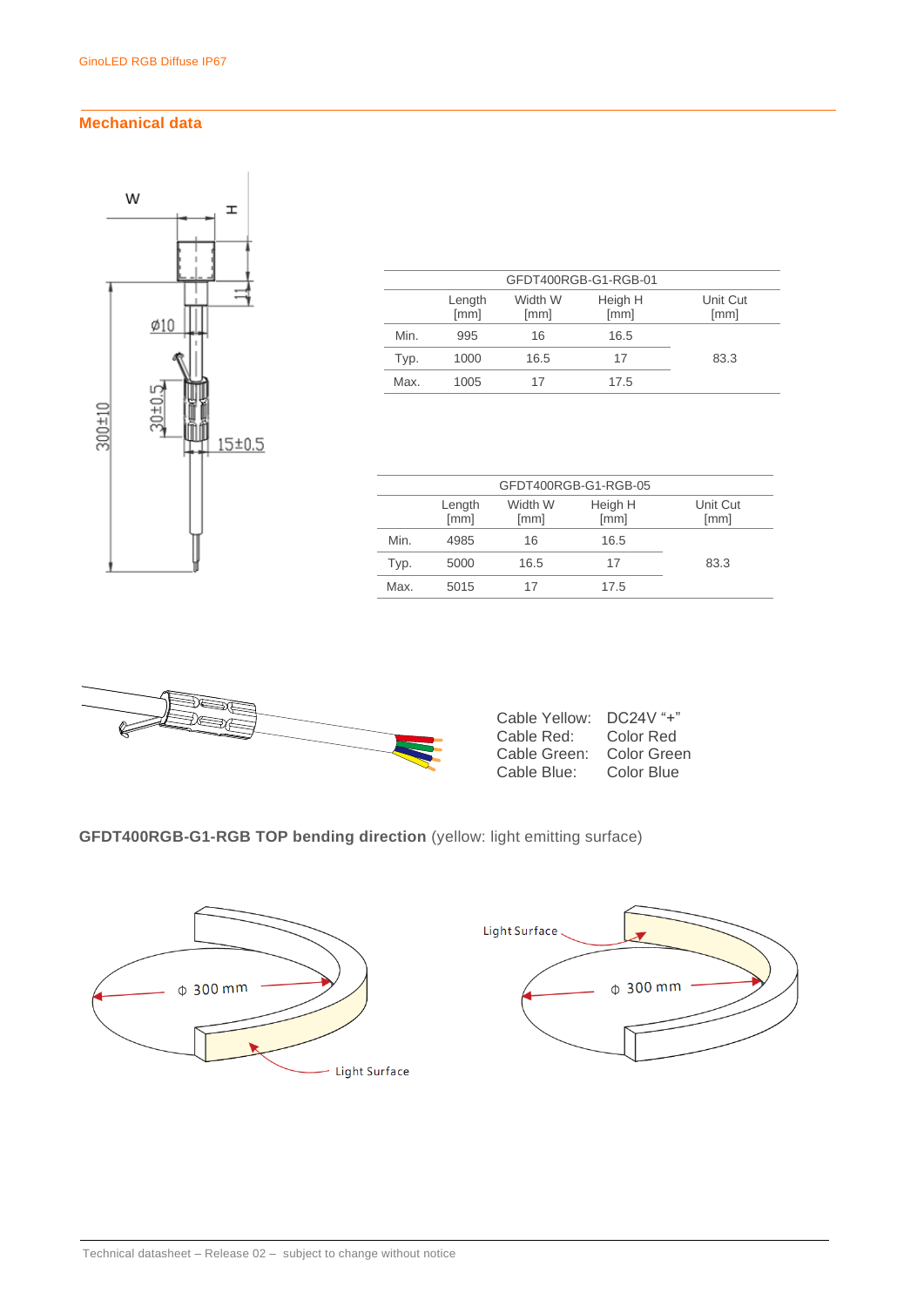## **Mechanical data**



| GFDT400RGB-G1-RGB-01 |                |                 |                 |                  |  |
|----------------------|----------------|-----------------|-----------------|------------------|--|
|                      | Length<br>[mm] | Width W<br>[mm] | Heigh H<br>[mm] | Unit Cut<br>[mm] |  |
| Min.                 | 995            | 16              | 16.5            |                  |  |
| Typ.                 | 1000           | 16.5            | 17              | 83.3             |  |
| Max.                 | 1005           | 17              | 17.5            |                  |  |

| GFDT400RGB-G1-RGB-05 |                |                 |                 |                  |  |
|----------------------|----------------|-----------------|-----------------|------------------|--|
|                      | Length<br>[mm] | Width W<br>[mm] | Heigh H<br>[mm] | Unit Cut<br>[mm] |  |
| Min.                 | 4985           | 16              | 16.5            |                  |  |
| Typ.                 | 5000           | 16.5            | 17              | 83.3             |  |
| Max.                 | 5015           | 17              | 17.5            |                  |  |
|                      |                |                 |                 |                  |  |



| Cable Yellow: | $DC24V$ "+" |
|---------------|-------------|
| Cable Red:    | Color Red   |
| Cable Green:  | Color Green |
| Cable Blue:   | Color Blue  |

## **GFDT400RGB-G1-RGB TOP bending direction** (yellow: light emitting surface)

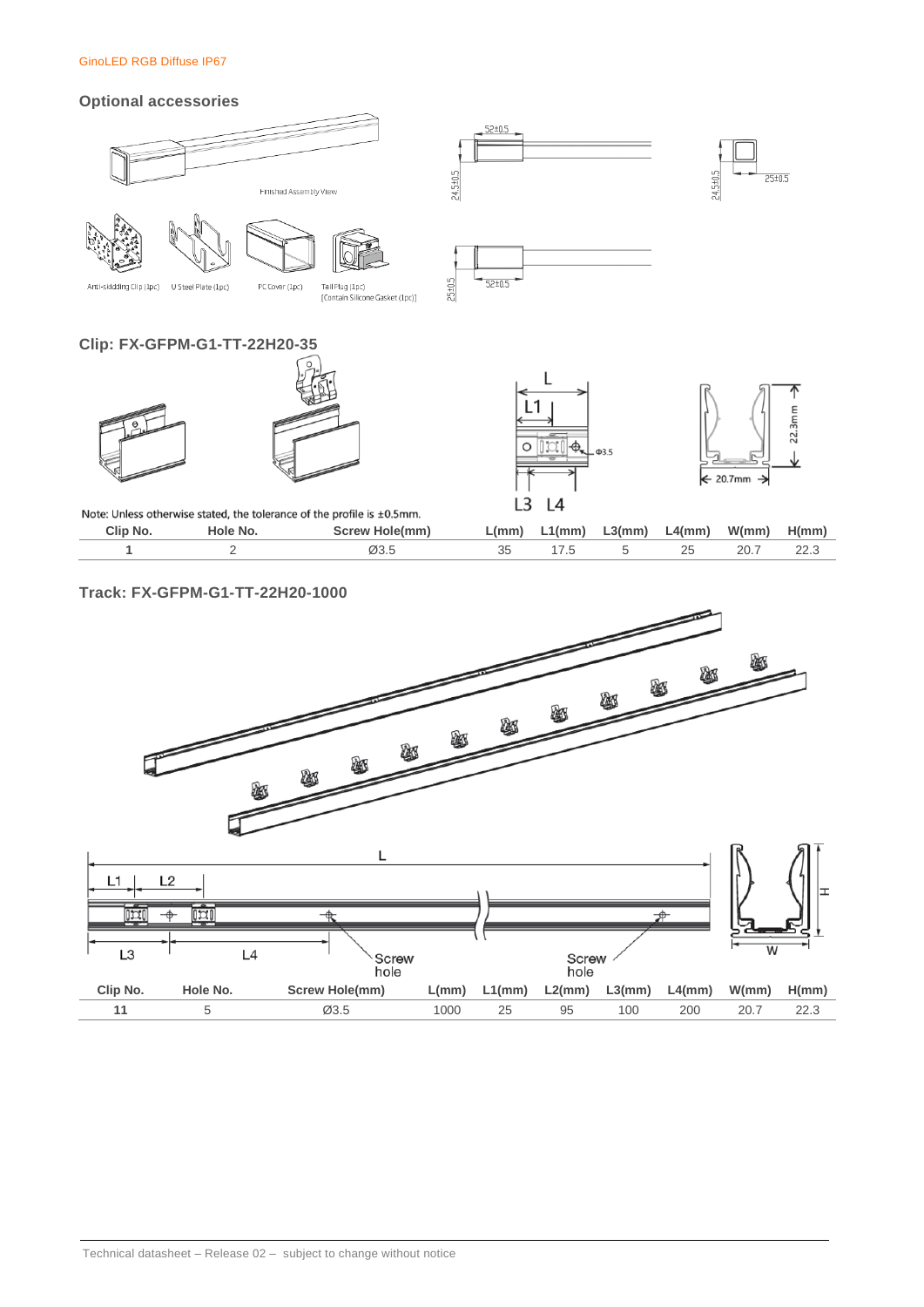### GinoLED RGB Diffuse IP67

### **Optional accessories**





Tail Plug (1pc)<br>[Contain Silicone Gasket (1pc)] PC Cover (1pc)

## **Clip: FX-GFPM-G1-TT-22H20-35**





 $52 \pm 0.5$ 

 $52+0.5$ 

24.5±0.5

 $25 + 0.5$ 



24.5±0.5

 $25 \pm 0.5$ 

| Note: Unless otherwise stated, the tolerance of the profile is $\pm 0.5$ mm. |          |                       |  |  |
|------------------------------------------------------------------------------|----------|-----------------------|--|--|
| Clip No.                                                                     | Hole No. | <b>Screw Hole(mm)</b> |  |  |
|                                                                              |          | Ø3.5                  |  |  |





| Clip No. | Hole No. | Screw Hole(mm)    |    | $L(mm)$ $L1(mm)$ $L3(mm)$ $L4(mm)$ $W(mm)$ $H(mm)$ |      |  |
|----------|----------|-------------------|----|----------------------------------------------------|------|--|
|          |          | $\varnothing$ 3.5 | 35 |                                                    | 20.7 |  |

## **Track: FX-GFPM-G1-TT-22H20-1000**

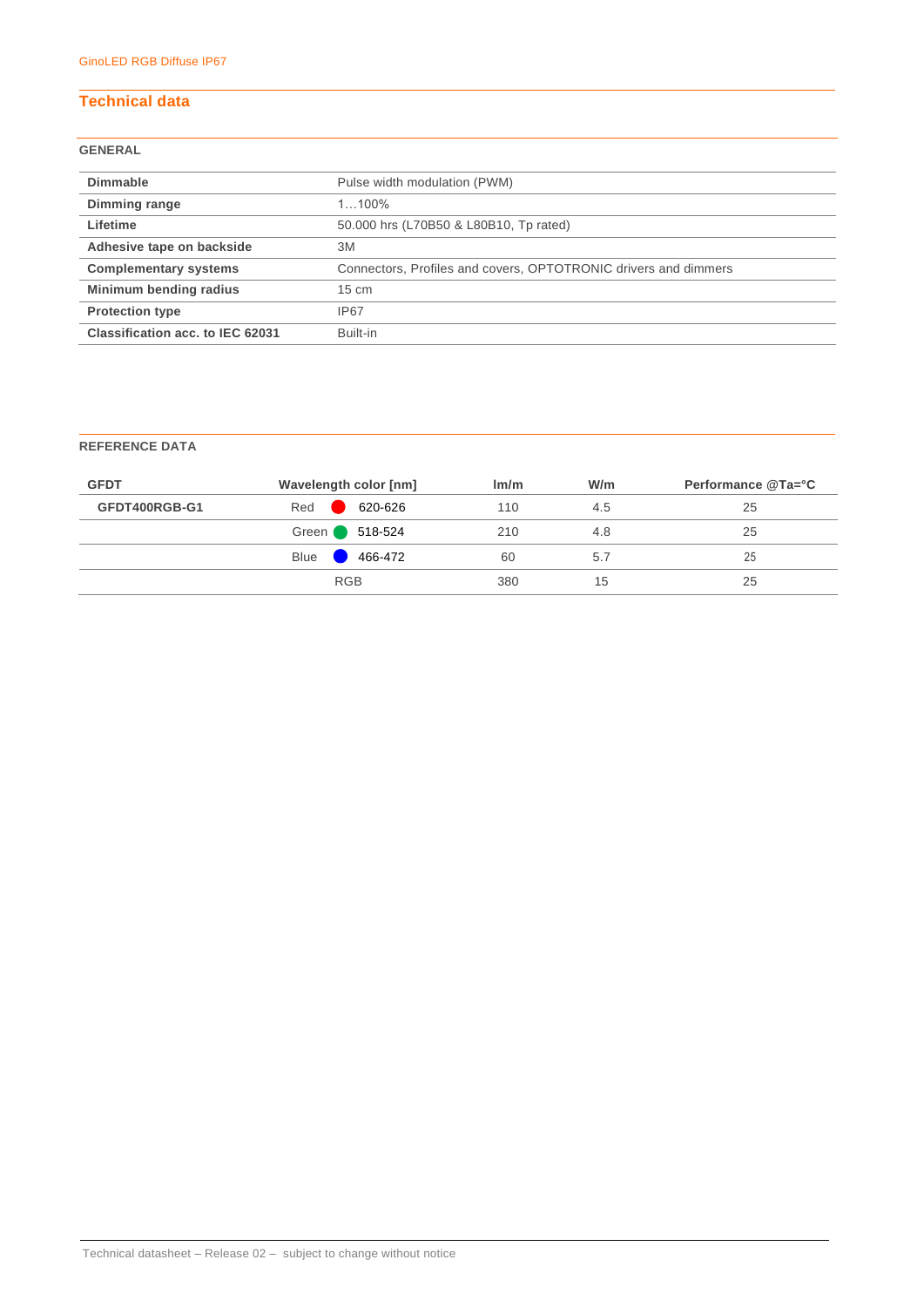## **Technical data**

## **GENERAL**

| <b>Dimmable</b>                  | Pulse width modulation (PWM)                                    |
|----------------------------------|-----------------------------------------------------------------|
| Dimming range                    | $1100\%$                                                        |
| Lifetime                         | 50.000 hrs (L70B50 & L80B10, Tp rated)                          |
| Adhesive tape on backside        | 3M                                                              |
| <b>Complementary systems</b>     | Connectors, Profiles and covers, OPTOTRONIC drivers and dimmers |
| Minimum bending radius           | $15 \text{ cm}$                                                 |
| <b>Protection type</b>           | <b>IP67</b>                                                     |
| Classification acc. to IEC 62031 | Built-in                                                        |

## **REFERENCE DATA**

| Red<br>620-626<br>GFDT400RGB-G1<br>110<br>4.5 | 25 |
|-----------------------------------------------|----|
|                                               |    |
| Green 518-524<br>210<br>4.8                   | 25 |
| <b>Blue</b><br>$466-472$<br>60<br>5.7         | 25 |
| <b>RGB</b><br>380<br>15                       | 25 |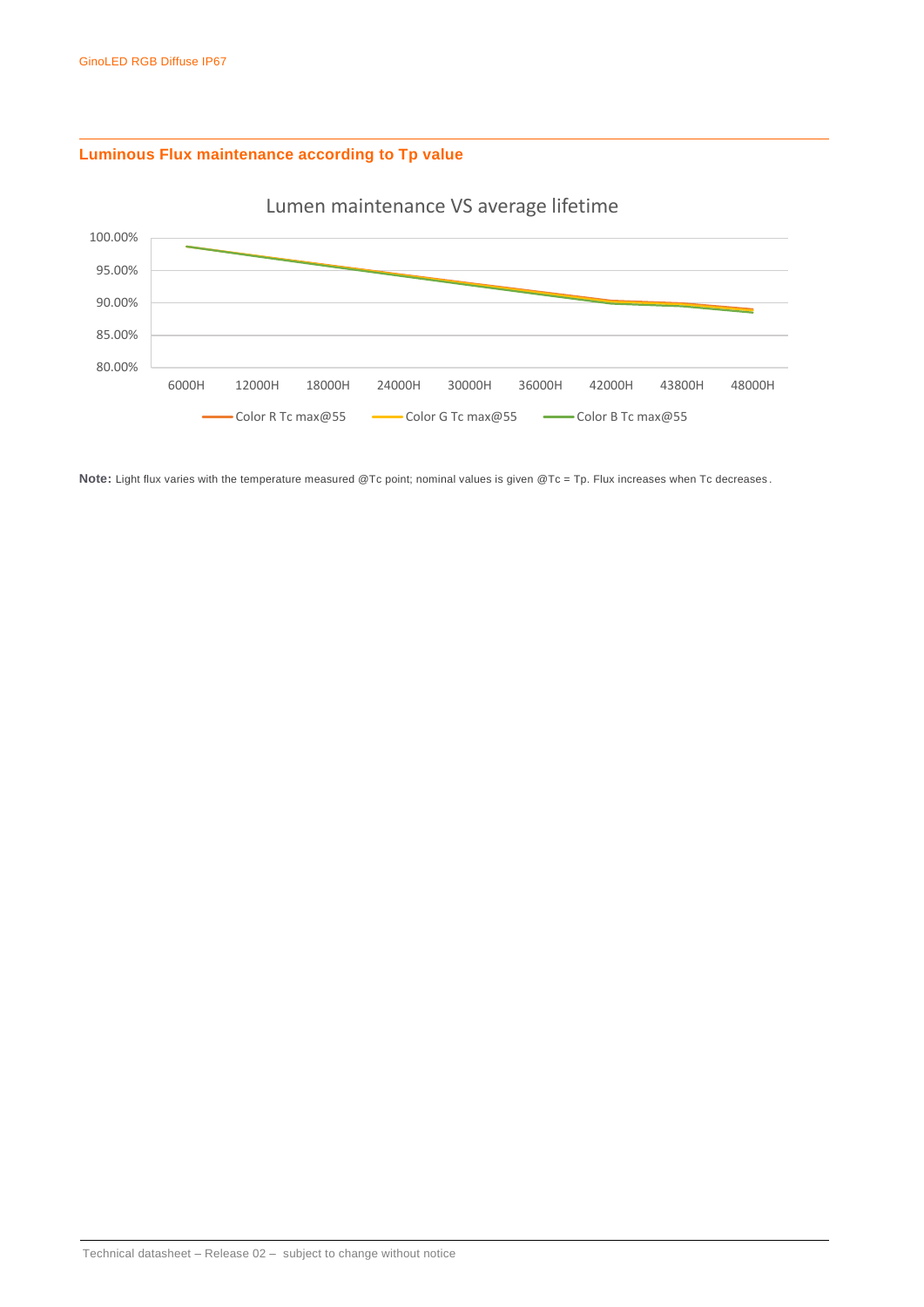## **Luminous Flux maintenance according to Tp value**



Lumen maintenance VS average lifetime

Note: Light flux varies with the temperature measured @Tc point; nominal values is given @Tc = Tp. Flux increases when Tc decreases.